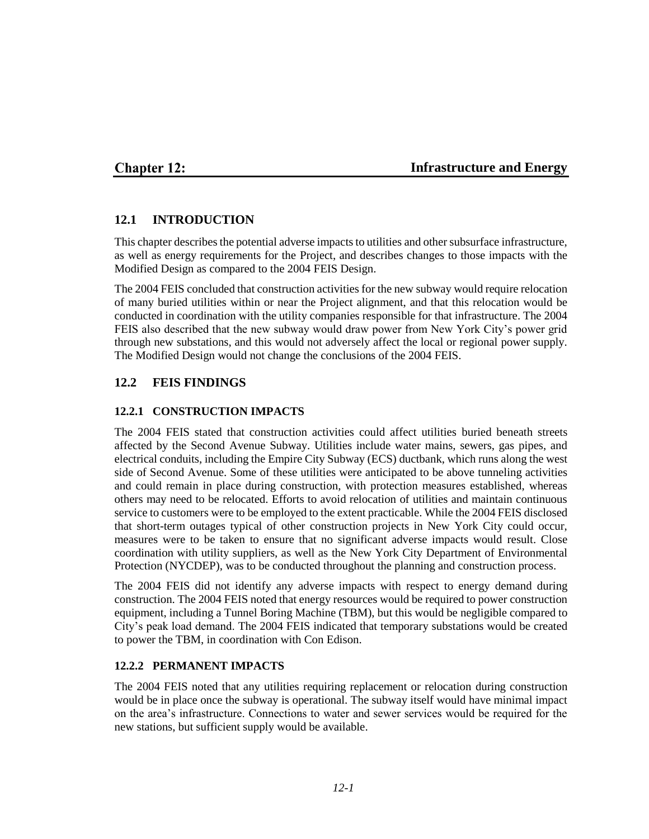## **Chapter 12:**

### **Infrastructure and Energy**

## **12.1 INTRODUCTION**

This chapter describes the potential adverse impacts to utilities and other subsurface infrastructure, as well as energy requirements for the Project, and describes changes to those impacts with the Modified Design as compared to the 2004 FEIS Design.

The 2004 FEIS concluded that construction activities for the new subway would require relocation of many buried utilities within or near the Project alignment, and that this relocation would be conducted in coordination with the utility companies responsible for that infrastructure. The 2004 FEIS also described that the new subway would draw power from New York City's power grid through new substations, and this would not adversely affect the local or regional power supply. The Modified Design would not change the conclusions of the 2004 FEIS.

## **12.2 FEIS FINDINGS**

### **12.2.1 CONSTRUCTION IMPACTS**

The 2004 FEIS stated that construction activities could affect utilities buried beneath streets affected by the Second Avenue Subway. Utilities include water mains, sewers, gas pipes, and electrical conduits, including the Empire City Subway (ECS) ductbank, which runs along the west side of Second Avenue. Some of these utilities were anticipated to be above tunneling activities and could remain in place during construction, with protection measures established, whereas others may need to be relocated. Efforts to avoid relocation of utilities and maintain continuous service to customers were to be employed to the extent practicable. While the 2004 FEIS disclosed that short-term outages typical of other construction projects in New York City could occur, measures were to be taken to ensure that no significant adverse impacts would result. Close coordination with utility suppliers, as well as the New York City Department of Environmental Protection (NYCDEP), was to be conducted throughout the planning and construction process.

The 2004 FEIS did not identify any adverse impacts with respect to energy demand during construction. The 2004 FEIS noted that energy resources would be required to power construction equipment, including a Tunnel Boring Machine (TBM), but this would be negligible compared to City's peak load demand. The 2004 FEIS indicated that temporary substations would be created to power the TBM, in coordination with Con Edison.

#### **12.2.2 PERMANENT IMPACTS**

The 2004 FEIS noted that any utilities requiring replacement or relocation during construction would be in place once the subway is operational. The subway itself would have minimal impact on the area's infrastructure. Connections to water and sewer services would be required for the new stations, but sufficient supply would be available.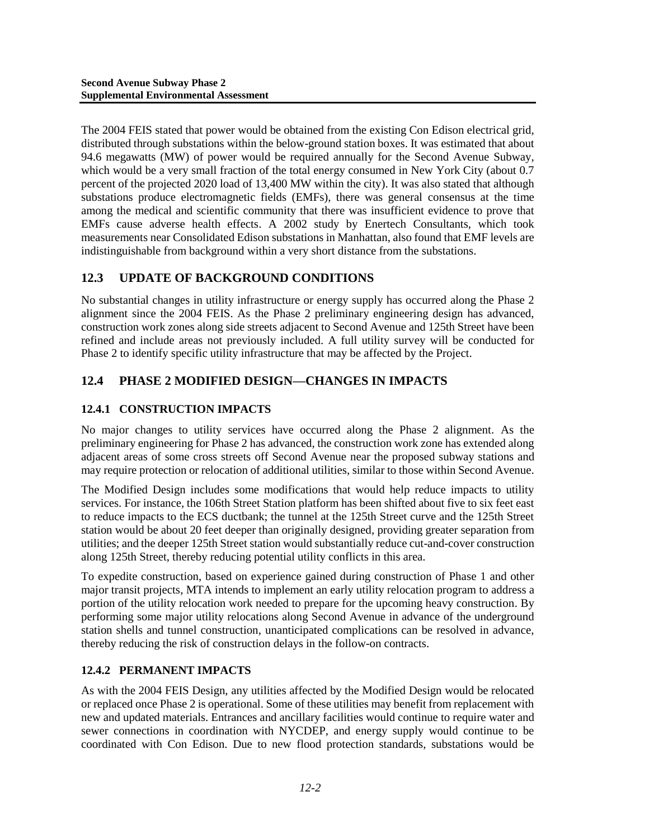The 2004 FEIS stated that power would be obtained from the existing Con Edison electrical grid, distributed through substations within the below-ground station boxes. It was estimated that about 94.6 megawatts (MW) of power would be required annually for the Second Avenue Subway, which would be a very small fraction of the total energy consumed in New York City (about 0.7 percent of the projected 2020 load of 13,400 MW within the city). It was also stated that although substations produce electromagnetic fields (EMFs), there was general consensus at the time among the medical and scientific community that there was insufficient evidence to prove that EMFs cause adverse health effects. A 2002 study by Enertech Consultants, which took measurements near Consolidated Edison substations in Manhattan, also found that EMF levels are indistinguishable from background within a very short distance from the substations.

# **12.3 UPDATE OF BACKGROUND CONDITIONS**

No substantial changes in utility infrastructure or energy supply has occurred along the Phase 2 alignment since the 2004 FEIS. As the Phase 2 preliminary engineering design has advanced, construction work zones along side streets adjacent to Second Avenue and 125th Street have been refined and include areas not previously included. A full utility survey will be conducted for Phase 2 to identify specific utility infrastructure that may be affected by the Project.

# **12.4 PHASE 2 MODIFIED DESIGN—CHANGES IN IMPACTS**

# **12.4.1 CONSTRUCTION IMPACTS**

No major changes to utility services have occurred along the Phase 2 alignment. As the preliminary engineering for Phase 2 has advanced, the construction work zone has extended along adjacent areas of some cross streets off Second Avenue near the proposed subway stations and may require protection or relocation of additional utilities, similar to those within Second Avenue.

The Modified Design includes some modifications that would help reduce impacts to utility services. For instance, the 106th Street Station platform has been shifted about five to six feet east to reduce impacts to the ECS ductbank; the tunnel at the 125th Street curve and the 125th Street station would be about 20 feet deeper than originally designed, providing greater separation from utilities; and the deeper 125th Street station would substantially reduce cut-and-cover construction along 125th Street, thereby reducing potential utility conflicts in this area.

To expedite construction, based on experience gained during construction of Phase 1 and other major transit projects, MTA intends to implement an early utility relocation program to address a portion of the utility relocation work needed to prepare for the upcoming heavy construction. By performing some major utility relocations along Second Avenue in advance of the underground station shells and tunnel construction, unanticipated complications can be resolved in advance, thereby reducing the risk of construction delays in the follow-on contracts.

# **12.4.2 PERMANENT IMPACTS**

As with the 2004 FEIS Design, any utilities affected by the Modified Design would be relocated or replaced once Phase 2 is operational. Some of these utilities may benefit from replacement with new and updated materials. Entrances and ancillary facilities would continue to require water and sewer connections in coordination with NYCDEP, and energy supply would continue to be coordinated with Con Edison. Due to new flood protection standards, substations would be